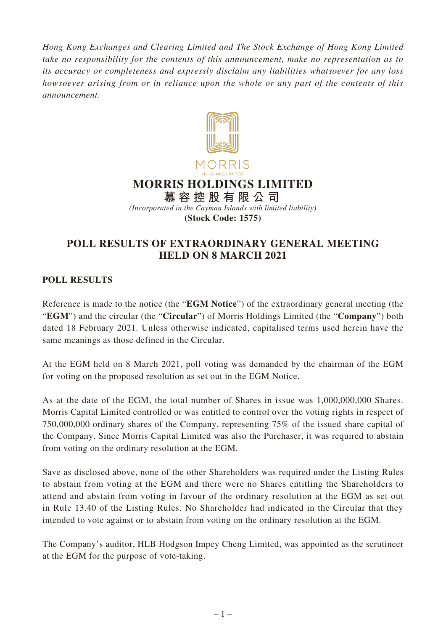*Hong Kong Exchanges and Clearing Limited and The Stock Exchange of Hong Kong Limited take no responsibility for the contents of this announcement, make no representation as to its accuracy or completeness and expressly disclaim any liabilities whatsoever for any loss howsoever arising from or in reliance upon the whole or any part of the contents of this announcement.*



## **POLL RESULTS OF EXTRAORDINARY GENERAL MEETING HELD ON 8 MARCH 2021**

## **POLL RESULTS**

Reference is made to the notice (the "**EGM Notice**") of the extraordinary general meeting (the "**EGM**") and the circular (the "**Circular**") of Morris Holdings Limited (the "**Company**") both dated 18 February 2021. Unless otherwise indicated, capitalised terms used herein have the same meanings as those defined in the Circular.

At the EGM held on 8 March 2021, poll voting was demanded by the chairman of the EGM for voting on the proposed resolution as set out in the EGM Notice.

As at the date of the EGM, the total number of Shares in issue was 1,000,000,000 Shares. Morris Capital Limited controlled or was entitled to control over the voting rights in respect of 750,000,000 ordinary shares of the Company, representing 75% of the issued share capital of the Company. Since Morris Capital Limited was also the Purchaser, it was required to abstain from voting on the ordinary resolution at the EGM.

Save as disclosed above, none of the other Shareholders was required under the Listing Rules to abstain from voting at the EGM and there were no Shares entitling the Shareholders to attend and abstain from voting in favour of the ordinary resolution at the EGM as set out in Rule 13.40 of the Listing Rules. No Shareholder had indicated in the Circular that they intended to vote against or to abstain from voting on the ordinary resolution at the EGM.

The Company's auditor, HLB Hodgson Impey Cheng Limited, was appointed as the scrutineer at the EGM for the purpose of vote-taking.